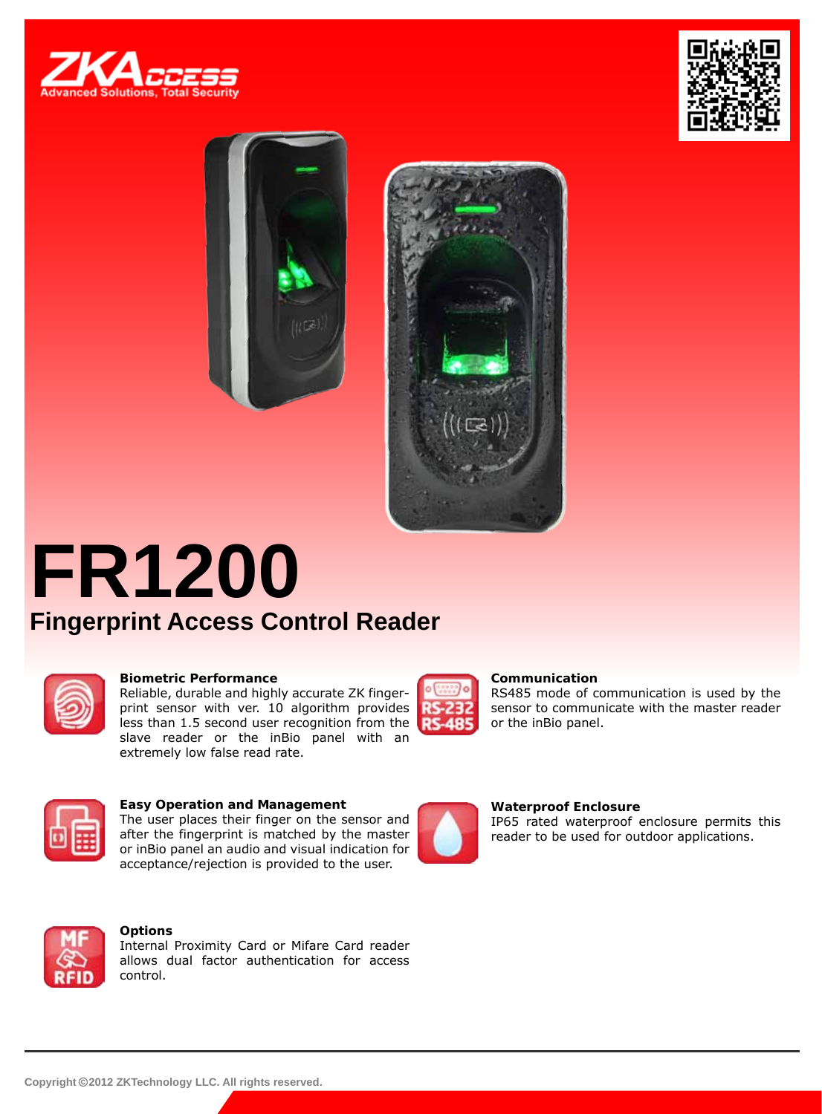







# **FR1200 Fingerprint Access Control Reader**



### **Biometric Performance**

Reliable, durable and highly accurate ZK fingerprint sensor with ver. 10 algorithm provides less than 1.5 second user recognition from the slave reader or the inBio panel with an extremely low false read rate.



### **Communication**

RS485 mode of communication is used by the sensor to communicate with the master reader or the inBio panel.



#### **Easy Operation and Management** The user places their finger on the sensor and after the fingerprint is matched by the master or inBio panel an audio and visual indication for acceptance/rejection is provided to the user.



### **Waterproof Enclosure**

IP65 rated waterproof enclosure permits this reader to be used for outdoor applications.



### **Options**

Internal Proximity Card or Mifare Card reader allows dual factor authentication for access control.